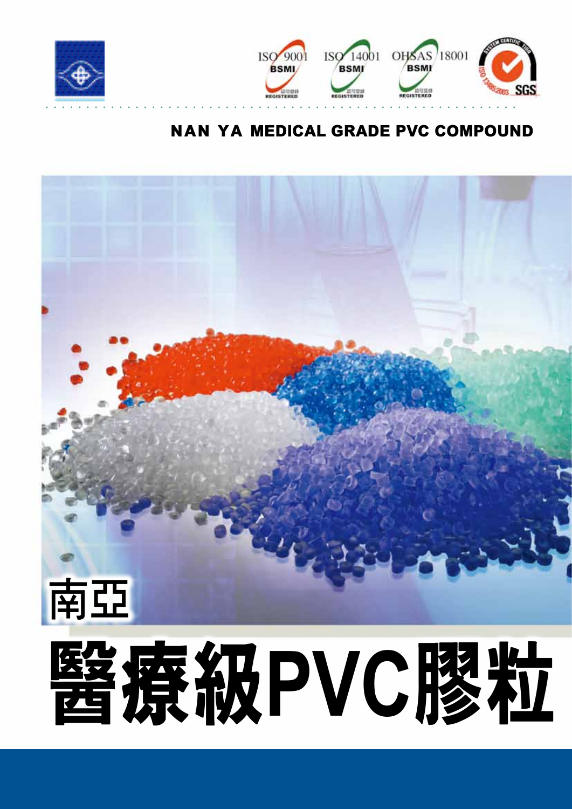



## Nan Ya MEDICAL GRADE PVC COMPOUND

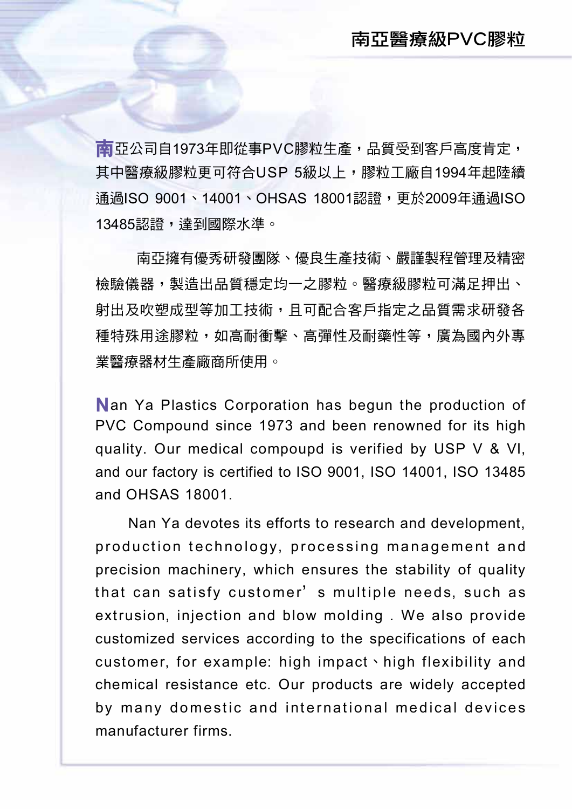南亞公司自1973年即從事PVC膠粒生產,品質受到客戶高度肯定, 其中醫療級膠粒更可符合USP 5級以上,膠粒工廠自1994年起陸續 通過ISO 9001、14001、OHSAS 18001認證,更於2009年通過ISO 13485認證,達到國際水準。

 南亞擁有優秀研發團隊、優良生產技術、嚴謹製程管理及精密 檢驗儀器,製造出品質穩定均一之膠粒。醫療級膠粒可滿足押出、 射出及吹塑成型等加工技術,且可配合客戶指定之品質需求研發各 種特殊用途膠粒,如高耐衝擊、高彈性及耐藥性等,廣為國內外專 業醫療器材生產廠商所使用。

Nan Ya Plastics Corporation has begun the production of PVC Compound since 1973 and been renowned for its high quality. Our medical compoupd is verified by USP V & VI, and our factory is certified to ISO 9001, ISO 14001, ISO 13485 and OHSAS 18001.

 Nan Ya devotes its efforts to research and development, production technology, processing management and precision machinery, which ensures the stability of quality that can satisfy customer's multiple needs, such as extrusion, injection and blow molding . We also provide customized services according to the specifications of each customer, for example: high impact、high flexibility and chemical resistance etc. Our products are widely accepted by many domestic and international medical devices manufacturer firms.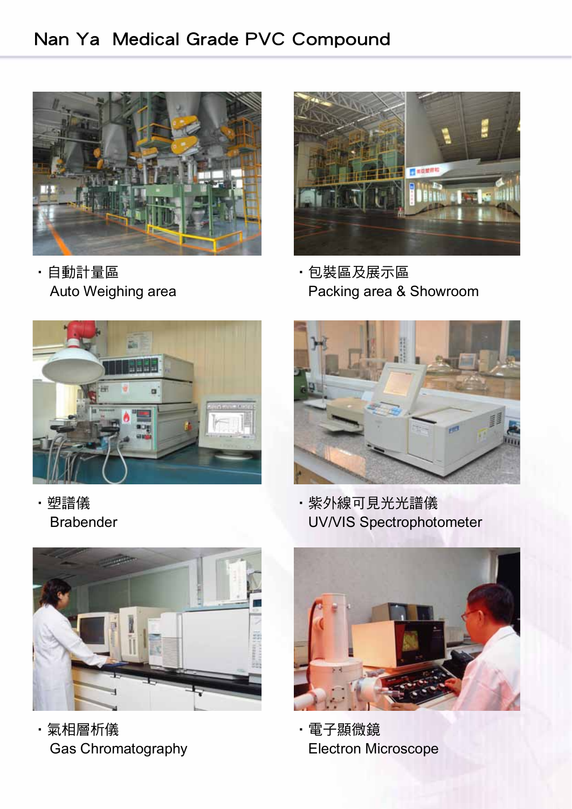## Nan Ya Medical Grade PVC Compound



·自動計量區 ·包裝區及展示區



Auto Weighing area **Auto Weighing area** Packing area & Showroom





·塑譜儀 ·紫外線可見光光譜儀 Brabender UV/VIS Spectrophotometer



・氣相層析儀 きょうしょう キン 電子顯微鏡



Gas Chromatography **Electron Microscope**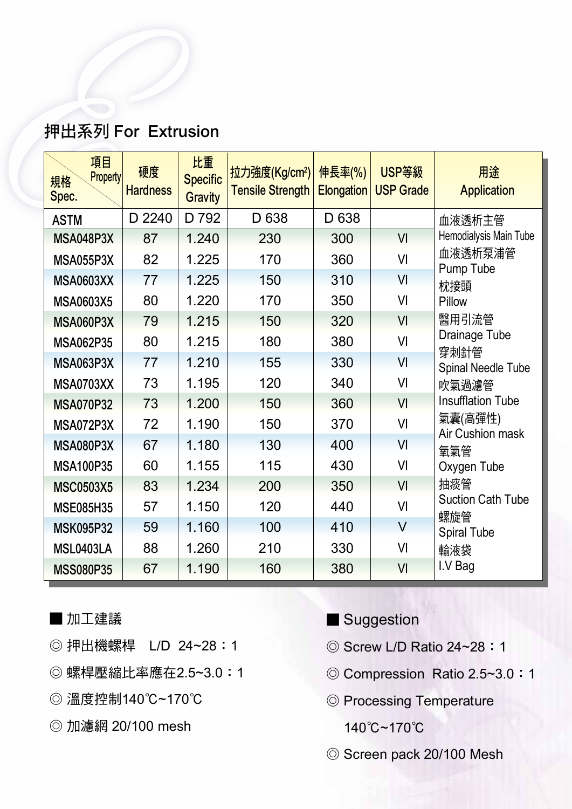### 押出系列 For Extrusion

| 押出系列 For Extrusion                   |                       |                                         |                                                      |                             |                           |                                 |
|--------------------------------------|-----------------------|-----------------------------------------|------------------------------------------------------|-----------------------------|---------------------------|---------------------------------|
| 項目<br><b>Property</b><br>規格<br>Spec. | 硬度<br><b>Hardness</b> | 比重<br><b>Specific</b><br><b>Gravity</b> | 拉力強度(Kg/cm <sup>2</sup> )<br><b>Tensile Strength</b> | 伸長率(%)<br><b>Elongation</b> | USP等級<br><b>USP Grade</b> | 用途<br><b>Application</b>        |
| <b>ASTM</b>                          | D 2240                | D 792                                   | D 638                                                | D 638                       |                           | 血液透析主管                          |
| <b>MSA048P3X</b>                     | 87                    | 1.240                                   | 230                                                  | 300                         | VI                        | Hemodialysis Main Tube          |
| <b>MSA055P3X</b>                     | 82                    | 1.225                                   | 170                                                  | 360                         | VI                        | 血液透析泵浦管<br>Pump Tube            |
| <b>MSA0603XX</b>                     | 77                    | 1.225                                   | 150                                                  | 310                         | VI                        | 枕接頭                             |
| <b>MSA0603X5</b>                     | 80                    | 1.220                                   | 170                                                  | 350                         | VI                        | Pillow                          |
| <b>MSA060P3X</b>                     | 79                    | 1.215                                   | 150                                                  | 320                         | VI                        | 醫用引流管                           |
| <b>MSA062P35</b>                     | 80                    | 1.215                                   | 180                                                  | 380                         | VI                        | Drainage Tube                   |
| <b>MSA063P3X</b>                     | 77                    | 1.210                                   | 155                                                  | 330                         | VI                        | 穿刺針管<br>Spinal Needle Tube      |
| <b>MSA0703XX</b>                     | 73                    | 1.195                                   | 120                                                  | 340                         | VI                        | 吹氣過濾管                           |
| <b>MSA070P32</b>                     | 73                    | 1.200                                   | 150                                                  | 360                         | VI                        | <b>Insufflation Tube</b>        |
| MSA072P3X                            | 72                    | 1.190                                   | 150                                                  | 370                         | VI                        | 氣囊(高彈性)<br>Air Cushion mask     |
| <b>MSA080P3X</b>                     | 67                    | 1.180                                   | 130                                                  | 400                         | VI                        | 氧氣管                             |
| <b>MSA100P35</b>                     | 60                    | 1.155                                   | 115                                                  | 430                         | VI                        | Oxygen Tube                     |
| <b>MSC0503X5</b>                     | 83                    | 1.234                                   | 200                                                  | 350                         | VI                        | 抽痰管                             |
| <b>MSE085H35</b>                     | 57                    | 1.150                                   | 120                                                  | 440                         | VI                        | <b>Suction Cath Tube</b><br>螺旋管 |
| <b>MSK095P32</b>                     | 59                    | 1.160                                   | 100                                                  | 410                         | $\vee$                    | <b>Spiral Tube</b>              |
| MSL0403LA                            | 88                    | 1.260                                   | 210                                                  | 330                         | VI                        | 輸液袋                             |
| <b>MSS080P35</b>                     | 67                    | 1.190                                   | 160                                                  | 380                         | VI                        | I.V Bag                         |

- 加工建議
- ◎ 押出機螺桿 L/D 24~28:1
- ◎ 螺桿壓縮比率應在2.5~3.0:1
- ◎ 溫度控制140℃~170℃
- ◎ 加濾網 20/100 mesh
- Suggestion
- ◎ Screw L/D Ratio 24~28:1
- ◎ Compression Ratio 2.5~3.0:1
- ◎ Processing Temperature
	- 140℃~170℃
- ◎ Screen pack 20/100 Mesh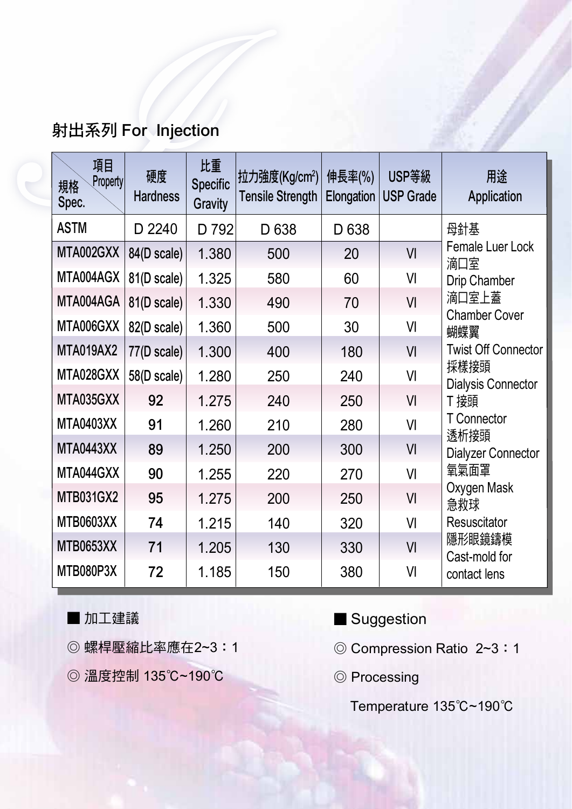## 射出系列 For Injection

| 射出系列 For Injection            |                       |                                         |                                                      |                      |                           |                                   |
|-------------------------------|-----------------------|-----------------------------------------|------------------------------------------------------|----------------------|---------------------------|-----------------------------------|
| 項目<br>Property<br>規格<br>Spec. | 硬度<br><b>Hardness</b> | 比重<br><b>Specific</b><br><b>Gravity</b> | 拉力強度(Kg/cm <sup>2</sup> )<br><b>Tensile Strength</b> | 伸長率(%)<br>Elongation | USP等級<br><b>USP Grade</b> | 用途<br>Application                 |
| <b>ASTM</b>                   | D 2240                | D 792                                   | D 638                                                | D 638                |                           | 母針基                               |
| MTA002GXX                     | 84(D scale)           | 1.380                                   | 500                                                  | 20                   | VI                        | Female Luer Lock<br>滴口室           |
| MTA004AGX                     | 81(D scale)           | 1.325                                   | 580                                                  | 60                   | VI                        | <b>Drip Chamber</b>               |
| MTA004AGA                     | 81(D scale)           | 1.330                                   | 490                                                  | 70                   | VI                        | 滴口室上蓋<br><b>Chamber Cover</b>     |
| MTA006GXX                     | 82(D scale)           | 1.360                                   | 500                                                  | 30                   | VI                        | 蝴蝶翼                               |
| MTA019AX2                     | 77(D scale)           | 1.300                                   | 400                                                  | 180                  | VI                        | <b>Twist Off Connector</b>        |
| MTA028GXX                     | 58(D scale)           | 1.280                                   | 250                                                  | 240                  | VI                        | 採樣接頭<br><b>Dialysis Connector</b> |
| MTA035GXX                     | 92                    | 1.275                                   | 240                                                  | 250                  | VI                        | T 接頭                              |
| <b>MTA0403XX</b>              | 91                    | 1.260                                   | 210                                                  | 280                  | VI                        | T Connector<br>透析接頭               |
| <b>MTA0443XX</b>              | 89                    | 1.250                                   | 200                                                  | 300                  | V <sub>l</sub>            | <b>Dialyzer Connector</b>         |
| MTA044GXX                     | 90                    | 1.255                                   | 220                                                  | 270                  | VI                        | 氧氣面罩                              |
| <b>MTB031GX2</b>              | 95                    | 1.275                                   | 200                                                  | 250                  | VI                        | Oxygen Mask<br>急救球                |
| <b>MTB0603XX</b>              | 74                    | 1.215                                   | 140                                                  | 320                  | VI                        | Resuscitator                      |
| MTB0653XX                     | 71                    | 1.205                                   | 130                                                  | 330                  | VI                        | 隱形眼鏡鑄模<br>Cast-mold for           |
| MTB080P3X                     | 72                    | 1.185                                   | 150                                                  | 380                  | VI                        | contact lens                      |

■ 加工建議

- ◎ 螺桿壓縮比率應在2~3:1
- ◎ 溫度控制 135℃~190℃
- Suggestion
- ◎ Compression Ratio 2~3:1
- ◎ Processing

Temperature 135℃~190℃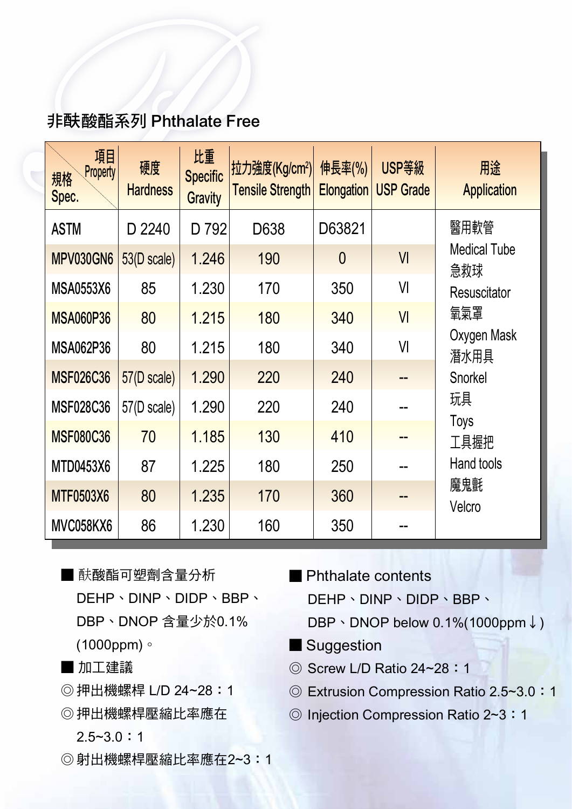#### 非 酰 酸酯系列 Phthalate Free

| 非酜酸酯系列 Phthalate Free         |                       |                                         |                                                      |                             |                           |                            |  |  |  |
|-------------------------------|-----------------------|-----------------------------------------|------------------------------------------------------|-----------------------------|---------------------------|----------------------------|--|--|--|
| 項目<br>Property<br>規格<br>Spec. | 硬度<br><b>Hardness</b> | 比重<br><b>Specific</b><br><b>Gravity</b> | 拉力強度(Kg/cm <sup>2</sup> )<br><b>Tensile Strength</b> | 伸長率(%)<br><b>Elongation</b> | USP等級<br><b>USP Grade</b> | 用途<br><b>Application</b>   |  |  |  |
| <b>ASTM</b>                   | D 2240                | D 792                                   | D638                                                 | D63821                      |                           | 醫用軟管                       |  |  |  |
| MPV030GN6                     | 53(D scale)           | 1.246                                   | 190                                                  | $\overline{0}$              | VI                        | <b>Medical Tube</b><br>急救球 |  |  |  |
| <b>MSA0553X6</b>              | 85                    | 1.230                                   | 170                                                  | 350                         | VI                        | Resuscitator               |  |  |  |
| <b>MSA060P36</b>              | 80                    | 1.215                                   | 180                                                  | 340                         | V <sub>l</sub>            | 氧氣罩                        |  |  |  |
| <b>MSA062P36</b>              | 80                    | 1.215                                   | 180                                                  | 340                         | VI                        | Oxygen Mask<br>潛水用具        |  |  |  |
| <b>MSF026C36</b>              | 57(D scale)           | 1.290                                   | 220                                                  | 240                         |                           | Snorkel                    |  |  |  |
| <b>MSF028C36</b>              | 57(D scale)           | 1.290                                   | 220                                                  | 240                         |                           | 玩具                         |  |  |  |
| <b>MSF080C36</b>              | 70                    | 1.185                                   | 130                                                  | 410                         |                           | Toys<br>工具握把               |  |  |  |
| <b>MTD0453X6</b>              | 87                    | 1.225                                   | 180                                                  | 250                         |                           | Hand tools                 |  |  |  |
| <b>MTF0503X6</b>              | 80                    | 1.235                                   | 170                                                  | 360                         |                           | 魔鬼氈<br>Velcro              |  |  |  |
| MVC058KX6                     | 86                    | 1.230                                   | 160                                                  | 350                         |                           |                            |  |  |  |

■ 酰酸酯可塑劑含量分析 DEHP、DINP、DIDP、BBP、 DBP、DNOP 含量少於0.1% (1000ppm)。

■ 加工建議

- ◎ 押出機螺桿 L/D 24~28:1
- ◎ 押出機螺桿壓縮比率應在

 $2.5 - 3.0 : 1$ 

◎ 射出機螺桿壓縮比率應在2~3:1

- Phthalate contents DEHP、DINP、DIDP、BBP、
	- DBP、DNOP below 0.1%(1000ppm↓)
- Suggestion
- ◎ Screw L/D Ratio 24~28:1
- ◎ Extrusion Compression Ratio 2.5~3.0:1
- ◎ Injection Compression Ratio 2~3:1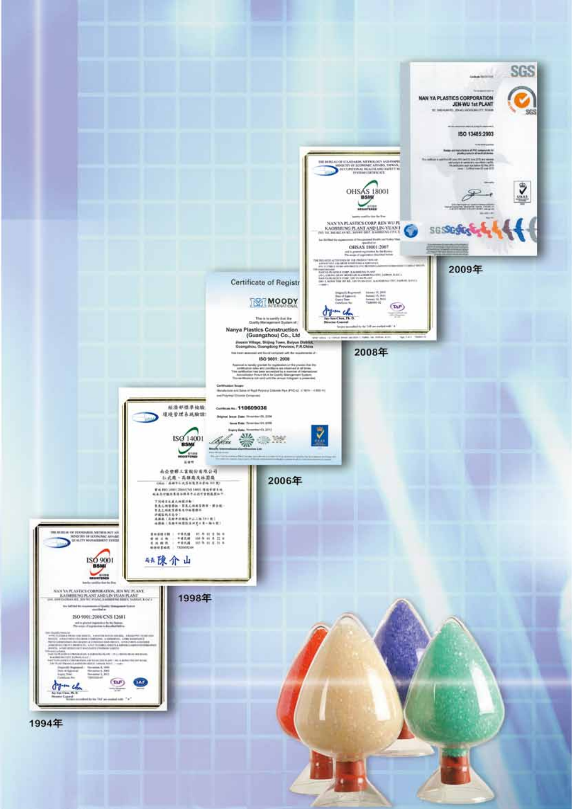